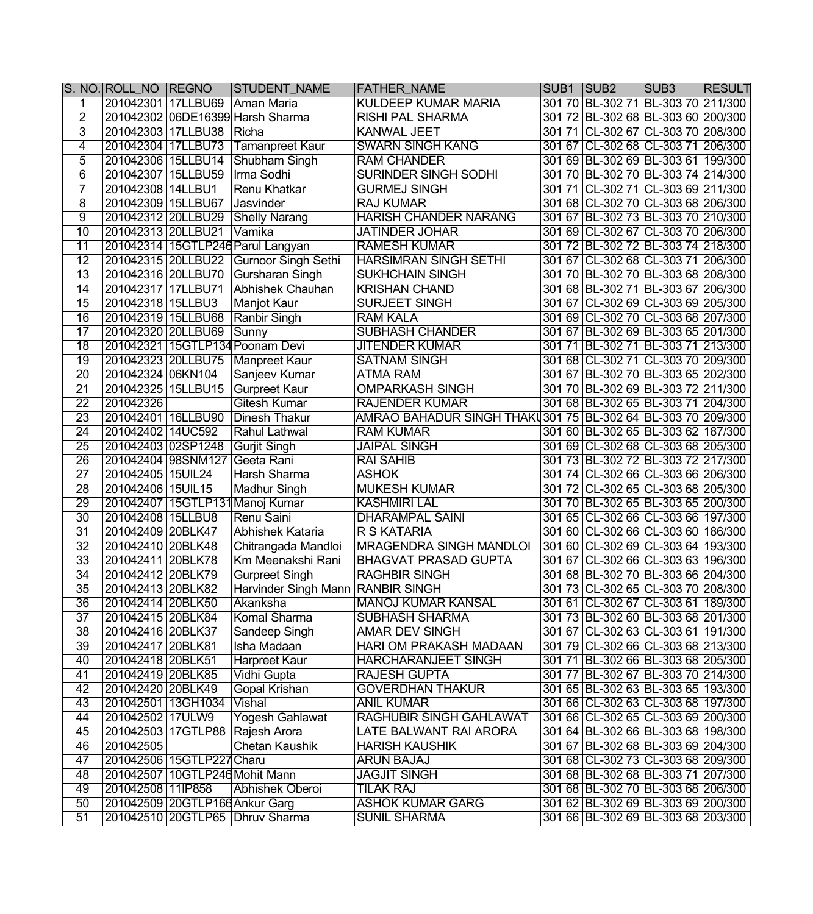|                 | S. NO. ROLL_NO REGNO |                                | <b>STUDENT_NAME</b>               | <b>FATHER_NAME</b>                                           | SUB1 SUB2 |                                    | SUB <sub>3</sub> | <b>RESULT</b> |
|-----------------|----------------------|--------------------------------|-----------------------------------|--------------------------------------------------------------|-----------|------------------------------------|------------------|---------------|
| 1               | 201042301 17LLBU69   |                                | Aman Maria                        | <b>KULDEEP KUMAR MARIA</b>                                   |           | 301 70 BL-302 71 BL-303 70 211/300 |                  |               |
| $\overline{2}$  |                      |                                | 201042302 06DE16399 Harsh Sharma  | <b>RISHI PAL SHARMA</b>                                      |           | 301 72 BL-302 68 BL-303 60 200/300 |                  |               |
| $\overline{3}$  | 201042303 17LLBU38   |                                | Richa                             | <b>KANWAL JEET</b>                                           |           | 301 71 CL-302 67 CL-303 70 208/300 |                  |               |
| $\overline{4}$  | 201042304 17LLBU73   |                                | <b>Tamanpreet Kaur</b>            | <b>SWARN SINGH KANG</b>                                      |           | 301 67 CL-302 68 CL-303 71 206/300 |                  |               |
| $\overline{5}$  | 201042306 15LLBU14   |                                | Shubham Singh                     | <b>RAM CHANDER</b>                                           |           | 301 69 BL-302 69 BL-303 61 199/300 |                  |               |
| $\overline{6}$  | 201042307 15LLBU59   |                                | Irma Sodhi                        | <b>SURINDER SINGH SODHI</b>                                  |           | 301 70 BL-302 70 BL-303 74 214/300 |                  |               |
| 7               | 201042308 14LLBU1    |                                | <b>Renu Khatkar</b>               | <b>GURMEJ SINGH</b>                                          |           | 301 71 CL-302 71 CL-303 69 211/300 |                  |               |
| $\overline{8}$  | 201042309 15LLBU67   |                                | Jasvinder                         | <b>RAJ KUMAR</b>                                             |           | 301 68 CL-302 70 CL-303 68 206/300 |                  |               |
| ॺ               | 201042312 20LLBU29   |                                | <b>Shelly Narang</b>              | <b>HARISH CHANDER NARANG</b>                                 |           | 301 67 BL-302 73 BL-303 70 210/300 |                  |               |
| $\overline{10}$ | 201042313 20LLBU21   |                                | Vamika                            | <b>JATINDER JOHAR</b>                                        |           | 301 69 CL-302 67 CL-303 70 206/300 |                  |               |
| $\overline{11}$ |                      |                                | 201042314 15GTLP246 Parul Langyan | <b>RAMESH KUMAR</b>                                          |           | 301 72 BL-302 72 BL-303 74 218/300 |                  |               |
| $\overline{12}$ |                      | 201042315 20LLBU22             | <b>Gurnoor Singh Sethi</b>        | <b>HARSIMRAN SINGH SETHI</b>                                 |           | 301 67 CL-302 68 CL-303 71 206/300 |                  |               |
| $\overline{13}$ |                      | 201042316 20LLBU70             | Gursharan Singh                   | <b>SUKHCHAIN SINGH</b>                                       |           | 301 70 BL-302 70 BL-303 68 208/300 |                  |               |
| $\overline{14}$ | 201042317 17LLBU71   |                                | Abhishek Chauhan                  | <b>KRISHAN CHAND</b>                                         |           | 301 68 BL-302 71 BL-303 67 206/300 |                  |               |
| $\overline{15}$ | 201042318 15LLBU3    |                                | <b>Manjot Kaur</b>                | <b>SURJEET SINGH</b>                                         |           | 301 67 CL-302 69 CL-303 69 205/300 |                  |               |
| $\overline{16}$ |                      | 201042319 15LLBU68             | Ranbir Singh                      | <b>RAM KALA</b>                                              |           | 301 69 CL-302 70 CL-303 68 207/300 |                  |               |
| $\overline{17}$ | 201042320 20LLBU69   |                                | Sunny                             | <b>SUBHASH CHANDER</b>                                       |           | 301 67 BL-302 69 BL-303 65 201/300 |                  |               |
| $\overline{18}$ |                      |                                | 201042321   15GTLP134 Poonam Devi | <b>JITENDER KUMAR</b>                                        |           | 301 71 BL-302 71 BL-303 71 213/300 |                  |               |
| $\overline{19}$ | 201042323 20LLBU75   |                                | Manpreet Kaur                     | <b>SATNAM SINGH</b>                                          |           | 301 68 CL-302 71 CL-303 70 209/300 |                  |               |
| $\overline{20}$ | 201042324 06KN104    |                                | Sanjeev Kumar                     | <b>ATMA RAM</b>                                              |           | 301 67 BL-302 70 BL-303 65 202/300 |                  |               |
| $\overline{21}$ | 201042325 15LLBU15   |                                | <b>Gurpreet Kaur</b>              | <b>OMPARKASH SINGH</b>                                       |           | 301 70 BL-302 69 BL-303 72 211/300 |                  |               |
| $\overline{22}$ | 201042326            |                                | Gitesh Kumar                      | <b>RAJENDER KUMAR</b>                                        |           | 301 68 BL-302 65 BL-303 71 204/300 |                  |               |
| $\overline{23}$ | 201042401 16LLBU90   |                                | Dinesh Thakur                     | AMRAO BAHADUR SINGH THAKU 301 75 BL-302 64 BL-303 70 209/300 |           |                                    |                  |               |
| $\overline{24}$ | 201042402 14UC592    |                                | Rahul Lathwal                     | <b>RAM KUMAR</b>                                             |           | 301 60 BL-302 65 BL-303 62 187/300 |                  |               |
| $\overline{25}$ | 201042403 02SP1248   |                                | Gurjit Singh                      | <b>JAIPAL SINGH</b>                                          |           | 301 69 CL-302 68 CL-303 68 205/300 |                  |               |
| $\overline{26}$ |                      | 201042404 98SNM127             | Geeta Rani                        | <b>RAI SAHIB</b>                                             |           | 301 73 BL-302 72 BL-303 72 217/300 |                  |               |
| $\overline{27}$ | 201042405   15UIL24  |                                | Harsh Sharma                      | <b>ASHOK</b>                                                 |           | 301 74 CL-302 66 CL-303 66 206/300 |                  |               |
| $\overline{28}$ | 201042406 15UIL15    |                                | Madhur Singh                      | <b>MUKESH KUMAR</b>                                          |           | 301 72 CL-302 65 CL-303 68 205/300 |                  |               |
| 29              |                      |                                | 201042407 15GTLP131 Manoj Kumar   | <b>KASHMIRI LAL</b>                                          |           | 301 70 BL-302 65 BL-303 65 200/300 |                  |               |
| $\overline{30}$ | 201042408 15LLBU8    |                                | Renu Saini                        | <b>DHARAMPAL SAINI</b>                                       |           | 301 65 CL-302 66 CL-303 66 197/300 |                  |               |
| $\overline{31}$ | 201042409 20BLK47    |                                | Abhishek Kataria                  | <b>R S KATARIA</b>                                           |           | 301 60 CL-302 66 CL-303 60 186/300 |                  |               |
| $\overline{32}$ | 201042410 20BLK48    |                                | Chitrangada Mandloi               | <b>MRAGENDRA SINGH MANDLOI</b>                               |           | 301 60 CL-302 69 CL-303 64 193/300 |                  |               |
| $\overline{33}$ | 201042411 20BLK78    |                                | Km Meenakshi Rani                 | <b>BHAGVAT PRASAD GUPTA</b>                                  |           | 301 67 CL-302 66 CL-303 63 196/300 |                  |               |
| $\overline{34}$ | 201042412 20BLK79    |                                | <b>Gurpreet Singh</b>             | <b>RAGHBIR SINGH</b>                                         |           | 301 68 BL-302 70 BL-303 66 204/300 |                  |               |
| $\overline{35}$ | 201042413 20BLK82    |                                | Harvinder Singh Mann RANBIR SINGH |                                                              |           | 301 73 CL-302 65 CL-303 70 208/300 |                  |               |
| $\overline{36}$ | 201042414 20BLK50    |                                | Akanksha                          | <b>MANOJ KUMAR KANSAL</b>                                    |           | 301 61 CL-302 67 CL-303 61 189/300 |                  |               |
| $\overline{37}$ | 201042415 20BLK84    |                                | Komal Sharma                      | SUBHASH SHARMA                                               |           | 301 73 BL-302 60 BL-303 68 201/300 |                  |               |
| $\overline{38}$ | 201042416 20BLK37    |                                | Sandeep Singh                     | AMAR DEV SINGH                                               |           | 301 67 CL-302 63 CL-303 61 191/300 |                  |               |
| 39              | 201042417 20BLK81    |                                | Isha Madaan                       | <b>HARI OM PRAKASH MADAAN</b>                                |           | 301 79 CL-302 66 CL-303 68 213/300 |                  |               |
| 40              | 201042418 20BLK51    |                                | <b>Harpreet Kaur</b>              | <b>HARCHARANJEET SINGH</b>                                   |           | 301 71 BL-302 66 BL-303 68 205/300 |                  |               |
| 41              | 201042419 20BLK85    |                                | Vidhi Gupta                       | RAJESH GUPTA                                                 |           | 301 77 BL-302 67 BL-303 70 214/300 |                  |               |
| 42              | 201042420 20BLK49    |                                | Gopal Krishan                     | <b>GOVERDHAN THAKUR</b>                                      |           | 301 65 BL-302 63 BL-303 65 193/300 |                  |               |
| 43              | 201042501 13GH1034   |                                | Vishal                            | <b>ANIL KUMAR</b>                                            |           | 301 66 CL-302 63 CL-303 68 197/300 |                  |               |
| 44              | 201042502 17ULW9     |                                | <b>Yogesh Gahlawat</b>            | <b>RAGHUBIR SINGH GAHLAWAT</b>                               |           | 301 66 CL-302 65 CL-303 69 200/300 |                  |               |
| 45              |                      |                                | 201042503 17GTLP88 Rajesh Arora   | LATE BALWANT RAI ARORA                                       |           | 301 64 BL-302 66 BL-303 68 198/300 |                  |               |
| 46              | 201042505            |                                | Chetan Kaushik                    | <b>HARISH KAUSHIK</b>                                        |           | 301 67 BL-302 68 BL-303 69 204/300 |                  |               |
| 47              |                      | 201042506 15GTLP227 Charu      |                                   | ARUN BAJAJ                                                   |           | 301 68 CL-302 73 CL-303 68 209/300 |                  |               |
| 48              |                      |                                | 201042507 10GTLP246 Mohit Mann    | <b>JAGJIT SINGH</b>                                          |           | 301 68 BL-302 68 BL-303 71 207/300 |                  |               |
| 49              | 201042508 11IP858    |                                | Abhishek Oberoi                   | TILAK RAJ                                                    |           | 301 68 BL-302 70 BL-303 68 206/300 |                  |               |
| 50              |                      | 201042509 20GTLP166 Ankur Garg |                                   | <b>ASHOK KUMAR GARG</b>                                      |           | 301 62 BL-302 69 BL-303 69 200/300 |                  |               |
| $\overline{51}$ |                      |                                | 201042510 20GTLP65 Dhruv Sharma   | <b>SUNIL SHARMA</b>                                          |           | 301 66 BL-302 69 BL-303 68 203/300 |                  |               |